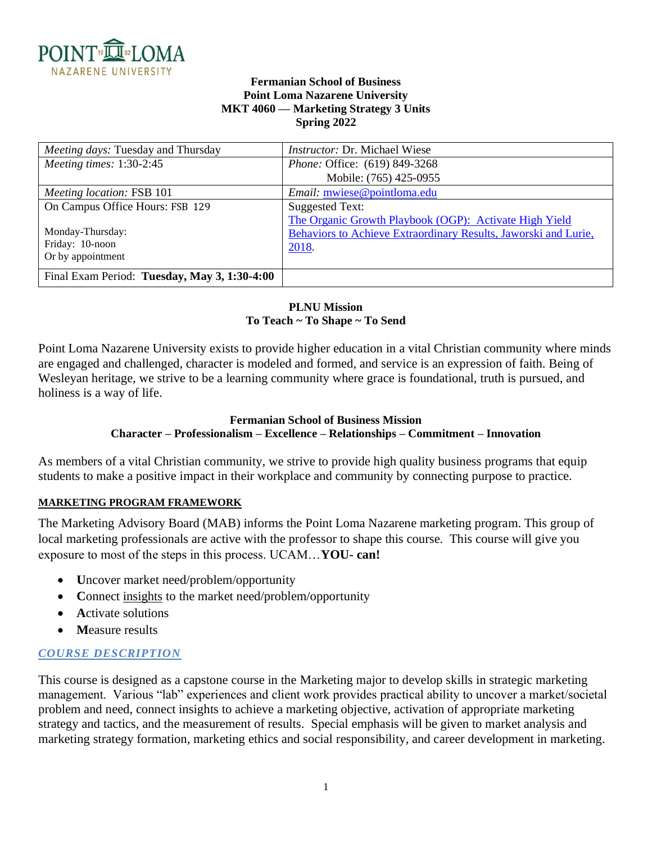

### **Fermanian School of Business Point Loma Nazarene University MKT 4060 — Marketing Strategy 3 Units Spring 2022**

| Meeting days: Tuesday and Thursday           | <i>Instructor: Dr. Michael Wiese</i>                            |
|----------------------------------------------|-----------------------------------------------------------------|
| Meeting times: 1:30-2:45                     | <i>Phone: Office: (619) 849-3268</i>                            |
|                                              | Mobile: (765) 425-0955                                          |
| Meeting location: FSB 101                    | Email: mwiese@pointloma.edu                                     |
| On Campus Office Hours: FSB 129              | Suggested Text:                                                 |
|                                              | The Organic Growth Playbook (OGP): Activate High Yield          |
| Monday-Thursday:                             | Behaviors to Achieve Extraordinary Results, Jaworski and Lurie, |
| Friday: 10-noon                              | 2018.                                                           |
| Or by appointment                            |                                                                 |
| Final Exam Period: Tuesday, May 3, 1:30-4:00 |                                                                 |

## **PLNU Mission To Teach ~ To Shape ~ To Send**

Point Loma Nazarene University exists to provide higher education in a vital Christian community where minds are engaged and challenged, character is modeled and formed, and service is an expression of faith. Being of Wesleyan heritage, we strive to be a learning community where grace is foundational, truth is pursued, and holiness is a way of life.

#### **Fermanian School of Business Mission Character – Professionalism – Excellence – Relationships – Commitment – Innovation**

As members of a vital Christian community, we strive to provide high quality business programs that equip students to make a positive impact in their workplace and community by connecting purpose to practice.

# **MARKETING PROGRAM FRAMEWORK**

The Marketing Advisory Board (MAB) informs the Point Loma Nazarene marketing program. This group of local marketing professionals are active with the professor to shape this course. This course will give you exposure to most of the steps in this process. UCAM…**YOU- can!**

- **U**ncover market need/problem/opportunity
- Connect insights to the market need/problem/opportunity
- **A**ctivate solutions
- **M**easure results

# *COURSE DESCRIPTION*

This course is designed as a capstone course in the Marketing major to develop skills in strategic marketing management. Various "lab" experiences and client work provides practical ability to uncover a market/societal problem and need, connect insights to achieve a marketing objective, activation of appropriate marketing strategy and tactics, and the measurement of results. Special emphasis will be given to market analysis and marketing strategy formation, marketing ethics and social responsibility, and career development in marketing.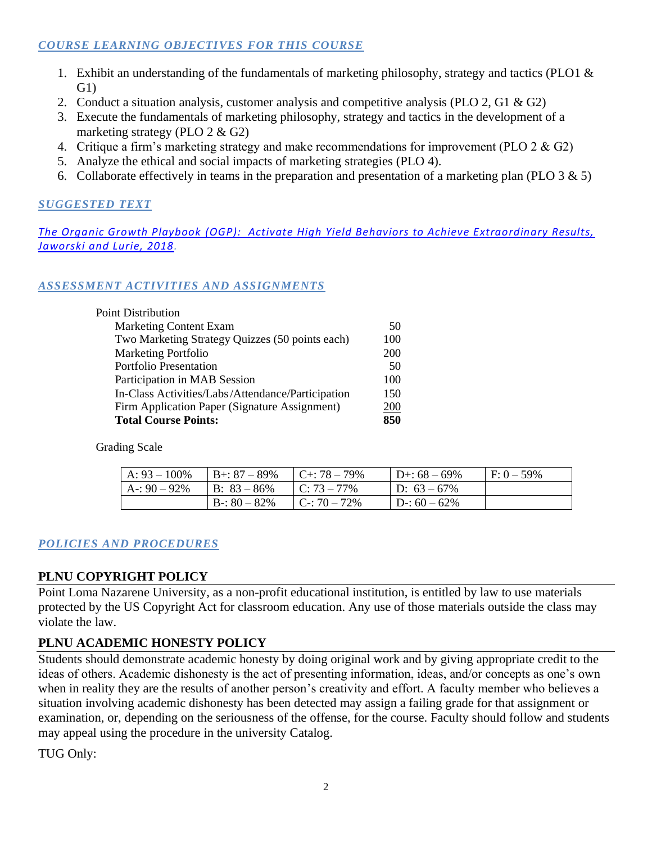# *COURSE LEARNING OBJECTIVES FOR THIS COURSE*

- 1. Exhibit an understanding of the fundamentals of marketing philosophy, strategy and tactics (PLO1  $\&$ G1)
- 2. Conduct a situation analysis, customer analysis and competitive analysis (PLO 2, G1 & G2)
- 3. Execute the fundamentals of marketing philosophy, strategy and tactics in the development of a marketing strategy (PLO 2 & G2)
- 4. Critique a firm's marketing strategy and make recommendations for improvement (PLO 2 & G2)
- 5. Analyze the ethical and social impacts of marketing strategies (PLO 4).
- 6. Collaborate effectively in teams in the preparation and presentation of a marketing plan (PLO 3 & 5)

# *SUGGESTED TEXT*

*The Organic Growth Playbook [\(OGP\): Activate High Yield Behaviors to Achieve Extraordinary Results,](https://www.amazon.com/s/ref=nb_sb_noss?url=search-alias%3Daps&field-keywords=Organic+growth+model+Jaworski&rh=i%3Aaps%2Ck%3AOrganic+growth+model+Jaworski)  [Jaworski and Lurie, 2018.](https://www.amazon.com/s/ref=nb_sb_noss?url=search-alias%3Daps&field-keywords=Organic+growth+model+Jaworski&rh=i%3Aaps%2Ck%3AOrganic+growth+model+Jaworski)*

# *ASSESSMENT ACTIVITIES AND ASSIGNMENTS*

| <b>Point Distribution</b>                         |     |
|---------------------------------------------------|-----|
| <b>Marketing Content Exam</b>                     | 50  |
| Two Marketing Strategy Quizzes (50 points each)   | 100 |
| <b>Marketing Portfolio</b>                        | 200 |
| <b>Portfolio Presentation</b>                     | 50  |
| Participation in MAB Session                      | 100 |
| In-Class Activities/Labs/Attendance/Participation | 150 |
| Firm Application Paper (Signature Assignment)     | 200 |
| <b>Total Course Points:</b>                       | 850 |

Grading Scale

| A: $93 - 100\%$ | $B_{+}$ : 87 – 89% | $C_{\pm}$ : 78 – 79% | $D + 68 - 69\%$ | $F: 0 - 59\%$ |
|-----------------|--------------------|----------------------|-----------------|---------------|
| $A - 90 - 92\%$ | $B: 83 - 86\%$     | $C: 73 - 77\%$       | $D: 63 - 67\%$  |               |
|                 | $B - 80 - 82\%$    | $C: 70 - 72\%$       | $D-: 60-62\%$   |               |

# *POLICIES AND PROCEDURES*

# **PLNU COPYRIGHT POLICY**

Point Loma Nazarene University, as a non-profit educational institution, is entitled by law to use materials protected by the US Copyright Act for classroom education. Any use of those materials outside the class may violate the law.

# **PLNU ACADEMIC HONESTY POLICY**

Students should demonstrate academic honesty by doing original work and by giving appropriate credit to the ideas of others. Academic dishonesty is the act of presenting information, ideas, and/or concepts as one's own when in reality they are the results of another person's creativity and effort. A faculty member who believes a situation involving academic dishonesty has been detected may assign a failing grade for that assignment or examination, or, depending on the seriousness of the offense, for the course. Faculty should follow and students may appeal using the procedure in the university Catalog.

TUG Only: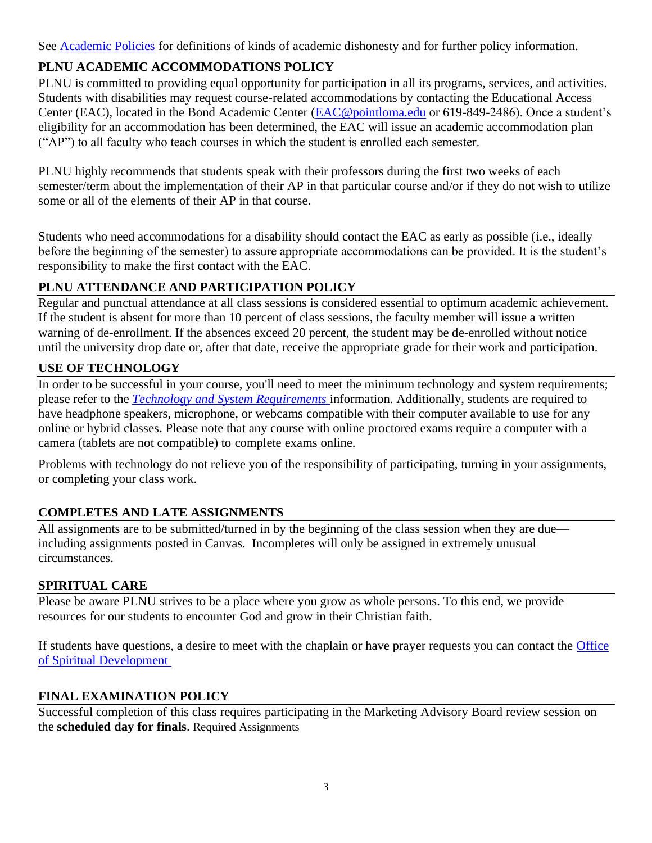See [Academic Policies](https://catalog.pointloma.edu/content.php?catoid=52&navoid=2919#Academic_Honesty) for definitions of kinds of academic dishonesty and for further policy information.

# **PLNU ACADEMIC ACCOMMODATIONS POLICY**

PLNU is committed to providing equal opportunity for participation in all its programs, services, and activities. Students with disabilities may request course-related accommodations by contacting the Educational Access Center (EAC), located in the Bond Academic Center [\(EAC@pointloma.edu](mailto:EAC@pointloma.edu) or 619-849-2486). Once a student's eligibility for an accommodation has been determined, the EAC will issue an academic accommodation plan ("AP") to all faculty who teach courses in which the student is enrolled each semester.

PLNU highly recommends that students speak with their professors during the first two weeks of each semester/term about the implementation of their AP in that particular course and/or if they do not wish to utilize some or all of the elements of their AP in that course.

Students who need accommodations for a disability should contact the EAC as early as possible (i.e., ideally before the beginning of the semester) to assure appropriate accommodations can be provided. It is the student's responsibility to make the first contact with the EAC.

# **PLNU ATTENDANCE AND PARTICIPATION POLICY**

Regular and punctual attendance at all class sessions is considered essential to optimum academic achievement. If the student is absent for more than 10 percent of class sessions, the faculty member will issue a written warning of de-enrollment. If the absences exceed 20 percent, the student may be de-enrolled without notice until the university drop date or, after that date, receive the appropriate grade for their work and participation.

# **USE OF TECHNOLOGY**

In order to be successful in your course, you'll need to meet the minimum technology and system requirements; please refer to the *[Technology and System Requirements](https://help.pointloma.edu/TDClient/1808/Portal/KB/ArticleDet?ID=108349)* information. Additionally, students are required to have headphone speakers, microphone, or webcams compatible with their computer available to use for any online or hybrid classes. Please note that any course with online proctored exams require a computer with a camera (tablets are not compatible) to complete exams online.

Problems with technology do not relieve you of the responsibility of participating, turning in your assignments, or completing your class work.

# **COMPLETES AND LATE ASSIGNMENTS**

All assignments are to be submitted/turned in by the beginning of the class session when they are due including assignments posted in Canvas. Incompletes will only be assigned in extremely unusual circumstances.

# **SPIRITUAL CARE**

Please be aware PLNU strives to be a place where you grow as whole persons. To this end, we provide resources for our students to encounter God and grow in their Christian faith.

If students have questions, a desire to meet with the chaplain or have prayer requests you can contact the Office [of Spiritual Development](https://www.pointloma.edu/offices/spiritual-development)

# **FINAL EXAMINATION POLICY**

Successful completion of this class requires participating in the Marketing Advisory Board review session on the **scheduled day for finals**. Required Assignments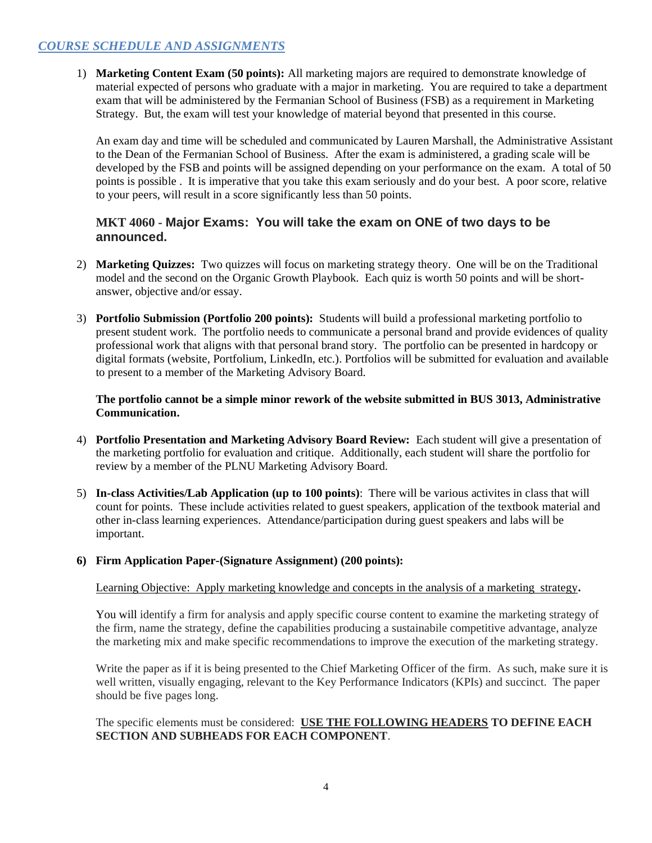# *COURSE SCHEDULE AND ASSIGNMENTS*

1) **Marketing Content Exam (50 points):** All marketing majors are required to demonstrate knowledge of material expected of persons who graduate with a major in marketing. You are required to take a department exam that will be administered by the Fermanian School of Business (FSB) as a requirement in Marketing Strategy. But, the exam will test your knowledge of material beyond that presented in this course.

An exam day and time will be scheduled and communicated by Lauren Marshall, the Administrative Assistant to the Dean of the Fermanian School of Business. After the exam is administered, a grading scale will be developed by the FSB and points will be assigned depending on your performance on the exam. A total of 50 points is possible . It is imperative that you take this exam seriously and do your best. A poor score, relative to your peers, will result in a score significantly less than 50 points.

## **MKT 4060 - Major Exams: You will take the exam on ONE of two days to be announced.**

- 2) **Marketing Quizzes:** Two quizzes will focus on marketing strategy theory. One will be on the Traditional model and the second on the Organic Growth Playbook. Each quiz is worth 50 points and will be shortanswer, objective and/or essay.
- 3) **Portfolio Submission (Portfolio 200 points):** Students will build a professional marketing portfolio to present student work. The portfolio needs to communicate a personal brand and provide evidences of quality professional work that aligns with that personal brand story. The portfolio can be presented in hardcopy or digital formats (website, Portfolium, LinkedIn, etc.). Portfolios will be submitted for evaluation and available to present to a member of the Marketing Advisory Board.

**The portfolio cannot be a simple minor rework of the website submitted in BUS 3013, Administrative Communication.**

- 4) **Portfolio Presentation and Marketing Advisory Board Review:** Each student will give a presentation of the marketing portfolio for evaluation and critique. Additionally, each student will share the portfolio for review by a member of the PLNU Marketing Advisory Board.
- 5) **In-class Activities/Lab Application (up to 100 points)**: There will be various activites in class that will count for points. These include activities related to guest speakers, application of the textbook material and other in-class learning experiences. Attendance/participation during guest speakers and labs will be important.

### **6) Firm Application Paper-(Signature Assignment) (200 points):**

Learning Objective: Apply marketing knowledge and concepts in the analysis of a marketing strategy**.**

You will identify a firm for analysis and apply specific course content to examine the marketing strategy of the firm, name the strategy, define the capabilities producing a sustainabile competitive advantage, analyze the marketing mix and make specific recommendations to improve the execution of the marketing strategy.

Write the paper as if it is being presented to the Chief Marketing Officer of the firm. As such, make sure it is well written, visually engaging, relevant to the Key Performance Indicators (KPIs) and succinct. The paper should be five pages long.

The specific elements must be considered: **USE THE FOLLOWING HEADERS TO DEFINE EACH SECTION AND SUBHEADS FOR EACH COMPONENT**.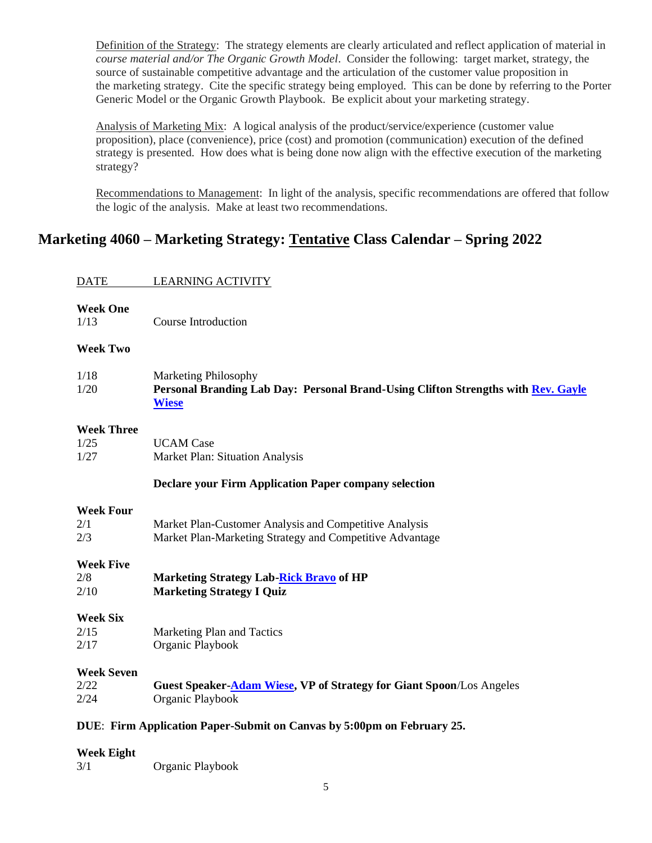Definition of the Strategy: The strategy elements are clearly articulated and reflect application of material in *course material and/or The Organic Growth Model*. Consider the following: target market, strategy, the source of sustainable competitive advantage and the articulation of the customer value proposition in the marketing strategy. Cite the specific strategy being employed. This can be done by referring to the Porter Generic Model or the Organic Growth Playbook. Be explicit about your marketing strategy.

Analysis of Marketing Mix: A logical analysis of the product/service/experience (customer value proposition), place (convenience), price (cost) and promotion (communication) execution of the defined strategy is presented. How does what is being done now align with the effective execution of the marketing strategy?

Recommendations to Management: In light of the analysis, specific recommendations are offered that follow the logic of the analysis. Make at least two recommendations.

# **Marketing 4060 – Marketing Strategy: Tentative Class Calendar – Spring 2022**

## DATE LEARNING ACTIVITY

## **Week One**

1/13 Course Introduction

## **Week Two**

| 1/18 | Marketing Philosophy                                                              |
|------|-----------------------------------------------------------------------------------|
| 1/20 | Personal Branding Lab Day: Personal Brand-Using Clifton Strengths with Rev. Gayle |
|      | <b>Wiese</b>                                                                      |

### **Week Three**

| 1/25 | <b>UCAM</b> Case                       |
|------|----------------------------------------|
| 1/27 | <b>Market Plan: Situation Analysis</b> |

### **Declare your Firm Application Paper company selection**

### **Week Four**

| $2\prime1$ | Market Plan-Customer Analysis and Competitive Analysis   |
|------------|----------------------------------------------------------|
| 2/3        | Market Plan-Marketing Strategy and Competitive Advantage |

## **Week Five**

| 2/8  | <b>Marketing Strategy Lab-Rick Bravo of HP</b> |
|------|------------------------------------------------|
| 2/10 | <b>Marketing Strategy I Quiz</b>               |

### **Week Six**

| 2/15 | Marketing Plan and Tactics |
|------|----------------------------|
| 2/17 | Organic Playbook           |

### **Week Seven**

| 2/22 | <b>Guest Speaker-Adam Wiese, VP of Strategy for Giant Spoon/Los Angeles</b> |
|------|-----------------------------------------------------------------------------|
| 2/24 | Organic Playbook                                                            |

### **DUE**: **Firm Application Paper-Submit on Canvas by 5:00pm on February 25.**

### **Week Eight**

| 3/1 | Organic Playbook |
|-----|------------------|